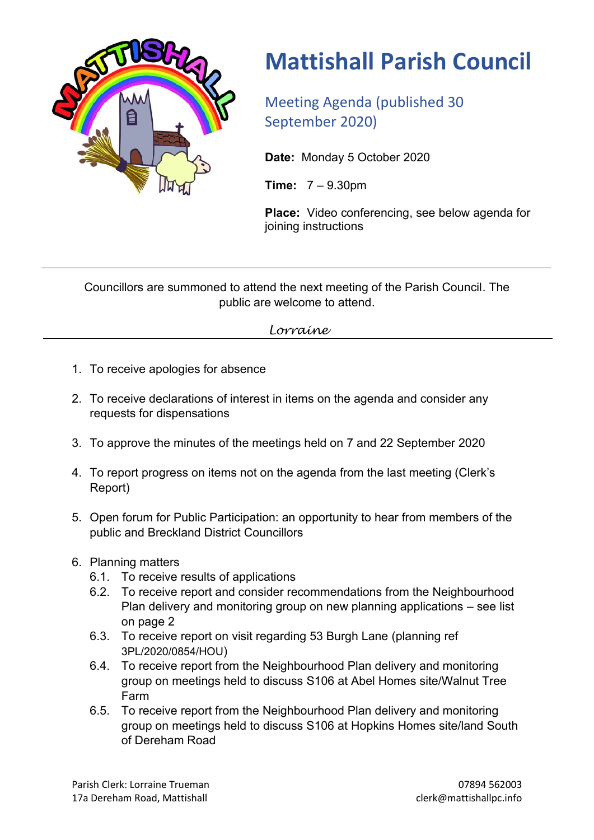

## **Mattishall Parish Council**

Meeting Agenda (published 30 September 2020)

**Date:** Monday 5 October 2020

**Time:** 7 – 9.30pm

**Place:** Video conferencing, see below agenda for joining instructions

Councillors are summoned to attend the next meeting of the Parish Council. The public are welcome to attend.

*Lorraine*

- 1. To receive apologies for absence
- 2. To receive declarations of interest in items on the agenda and consider any requests for dispensations
- 3. To approve the minutes of the meetings held on 7 and 22 September 2020
- 4. To report progress on items not on the agenda from the last meeting (Clerk's Report)
- 5. Open forum for Public Participation: an opportunity to hear from members of the public and Breckland District Councillors
- 6. Planning matters
	- 6.1. To receive results of applications
	- 6.2. To receive report and consider recommendations from the Neighbourhood Plan delivery and monitoring group on new planning applications – see list on page 2
	- 6.3. To receive report on visit regarding 53 Burgh Lane (planning ref 3PL/2020/0854/HOU)
	- 6.4. To receive report from the Neighbourhood Plan delivery and monitoring group on meetings held to discuss S106 at Abel Homes site/Walnut Tree Farm
	- 6.5. To receive report from the Neighbourhood Plan delivery and monitoring group on meetings held to discuss S106 at Hopkins Homes site/land South of Dereham Road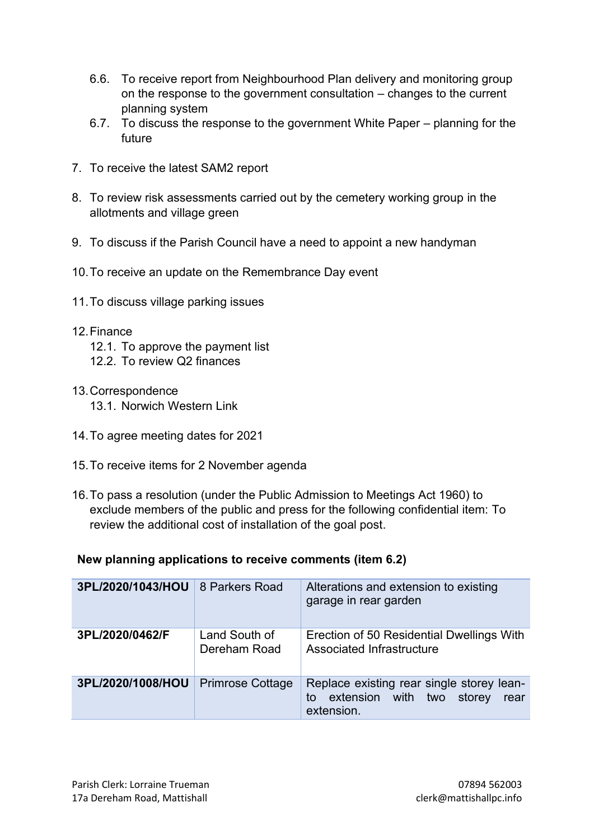- 6.6. To receive report from Neighbourhood Plan delivery and monitoring group on the response to the government consultation – changes to the current planning system
- 6.7. To discuss the response to the government White Paper planning for the future
- 7. To receive the latest SAM2 report
- 8. To review risk assessments carried out by the cemetery working group in the allotments and village green
- 9. To discuss if the Parish Council have a need to appoint a new handyman
- 10.To receive an update on the Remembrance Day event
- 11.To discuss village parking issues
- 12.Finance
	- 12.1. To approve the payment list
	- 12.2. To review Q2 finances
- 13.Correspondence 13.1. Norwich Western Link
- 14.To agree meeting dates for 2021
- 15.To receive items for 2 November agenda
- 16.To pass a resolution (under the Public Admission to Meetings Act 1960) to exclude members of the public and press for the following confidential item: To review the additional cost of installation of the goal post.

**New planning applications to receive comments (item 6.2)**

| 3PL/2020/1043/HOU | 8 Parkers Road                | Alterations and extension to existing<br>garage in rear garden                                     |
|-------------------|-------------------------------|----------------------------------------------------------------------------------------------------|
| 3PL/2020/0462/F   | Land South of<br>Dereham Road | Erection of 50 Residential Dwellings With<br>Associated Infrastructure                             |
| 3PL/2020/1008/HOU | <b>Primrose Cottage</b>       | Replace existing rear single storey lean-<br>extension with two storey<br>to<br>rear<br>extension. |